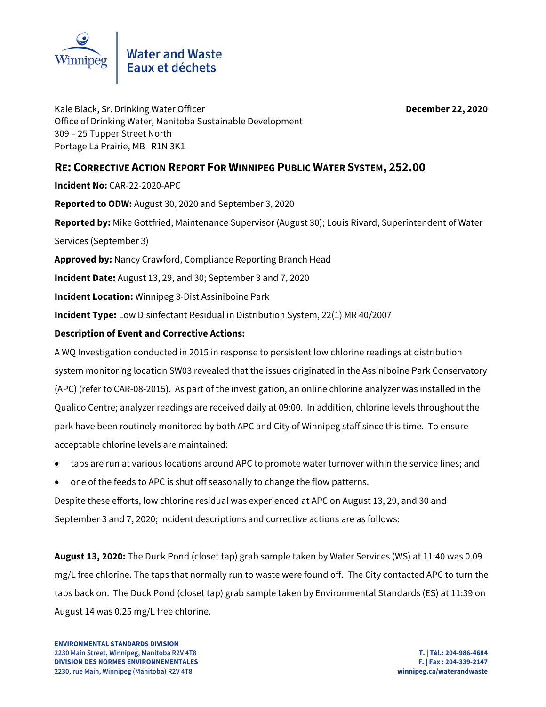

Kale Black, Sr. Drinking Water Officer **December 22, 2020** Office of Drinking Water, Manitoba Sustainable Development 309 – 25 Tupper Street North Portage La Prairie, MB R1N 3K1

# **RE: CORRECTIVE ACTION REPORT FOR WINNIPEG PUBLIC WATER SYSTEM, 252.00**

**Incident No:** CAR-22-2020-APC

**Reported to ODW:** August 30, 2020 and September 3, 2020

**Reported by:** Mike Gottfried, Maintenance Supervisor (August 30); Louis Rivard, Superintendent of Water

Services (September 3)

**Approved by:** Nancy Crawford, Compliance Reporting Branch Head

**Incident Date:** August 13, 29, and 30; September 3 and 7, 2020

**Incident Location:** Winnipeg 3-Dist Assiniboine Park

**Incident Type:** Low Disinfectant Residual in Distribution System, 22(1) MR 40/2007

## **Description of Event and Corrective Actions:**

A WQ Investigation conducted in 2015 in response to persistent low chlorine readings at distribution system monitoring location SW03 revealed that the issues originated in the Assiniboine Park Conservatory (APC) (refer to CAR-08-2015). As part of the investigation, an online chlorine analyzer was installed in the Qualico Centre; analyzer readings are received daily at 09:00. In addition, chlorine levels throughout the park have been routinely monitored by both APC and City of Winnipeg staff since this time. To ensure acceptable chlorine levels are maintained:

- taps are run at various locations around APC to promote water turnover within the service lines; and
- one of the feeds to APC is shut off seasonally to change the flow patterns.

Despite these efforts, low chlorine residual was experienced at APC on August 13, 29, and 30 and September 3 and 7, 2020; incident descriptions and corrective actions are as follows:

**August 13, 2020:** The Duck Pond (closet tap) grab sample taken by Water Services (WS) at 11:40 was 0.09 mg/L free chlorine. The taps that normally run to waste were found off. The City contacted APC to turn the taps back on. The Duck Pond (closet tap) grab sample taken by Environmental Standards (ES) at 11:39 on August 14 was 0.25 mg/L free chlorine.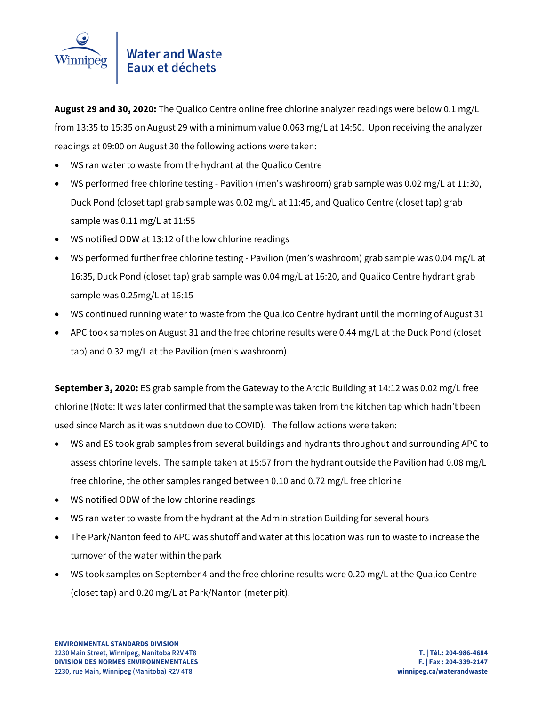

**August 29 and 30, 2020:** The Qualico Centre online free chlorine analyzer readings were below 0.1 mg/L from 13:35 to 15:35 on August 29 with a minimum value 0.063 mg/L at 14:50. Upon receiving the analyzer readings at 09:00 on August 30 the following actions were taken:

- WS ran water to waste from the hydrant at the Qualico Centre
- WS performed free chlorine testing Pavilion (men's washroom) grab sample was 0.02 mg/L at 11:30, Duck Pond (closet tap) grab sample was 0.02 mg/L at 11:45, and Qualico Centre (closet tap) grab sample was 0.11 mg/L at 11:55
- WS notified ODW at 13:12 of the low chlorine readings
- WS performed further free chlorine testing Pavilion (men's washroom) grab sample was 0.04 mg/L at 16:35, Duck Pond (closet tap) grab sample was 0.04 mg/L at 16:20, and Qualico Centre hydrant grab sample was 0.25mg/L at 16:15
- WS continued running water to waste from the Qualico Centre hydrant until the morning of August 31
- APC took samples on August 31 and the free chlorine results were 0.44 mg/L at the Duck Pond (closet tap) and 0.32 mg/L at the Pavilion (men's washroom)

**September 3, 2020:** ES grab sample from the Gateway to the Arctic Building at 14:12 was 0.02 mg/L free chlorine (Note: It was later confirmed that the sample was taken from the kitchen tap which hadn't been used since March as it was shutdown due to COVID). The follow actions were taken:

- WS and ES took grab samples from several buildings and hydrants throughout and surrounding APC to assess chlorine levels. The sample taken at 15:57 from the hydrant outside the Pavilion had 0.08 mg/L free chlorine, the other samples ranged between 0.10 and 0.72 mg/L free chlorine
- WS notified ODW of the low chlorine readings
- WS ran water to waste from the hydrant at the Administration Building for several hours
- The Park/Nanton feed to APC was shutoff and water at this location was run to waste to increase the turnover of the water within the park
- WS took samples on September 4 and the free chlorine results were 0.20 mg/L at the Qualico Centre (closet tap) and 0.20 mg/L at Park/Nanton (meter pit).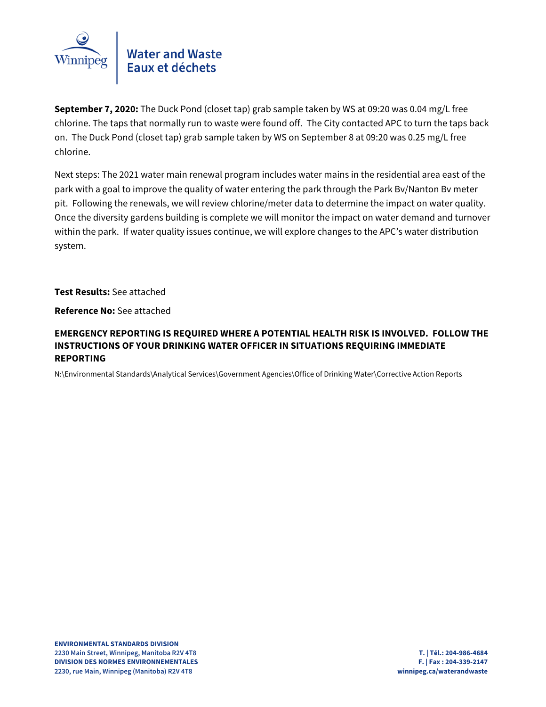

**September 7, 2020:** The Duck Pond (closet tap) grab sample taken by WS at 09:20 was 0.04 mg/L free chlorine. The taps that normally run to waste were found off. The City contacted APC to turn the taps back on. The Duck Pond (closet tap) grab sample taken by WS on September 8 at 09:20 was 0.25 mg/L free chlorine.

Next steps: The 2021 water main renewal program includes water mains in the residential area east of the park with a goal to improve the quality of water entering the park through the Park Bv/Nanton Bv meter pit. Following the renewals, we will review chlorine/meter data to determine the impact on water quality. Once the diversity gardens building is complete we will monitor the impact on water demand and turnover within the park. If water quality issues continue, we will explore changes to the APC's water distribution system.

**Test Results:** See attached

**Reference No:** See attached

## **EMERGENCY REPORTING IS REQUIRED WHERE A POTENTIAL HEALTH RISK IS INVOLVED. FOLLOW THE INSTRUCTIONS OF YOUR DRINKING WATER OFFICER IN SITUATIONS REQUIRING IMMEDIATE REPORTING**

N:\Environmental Standards\Analytical Services\Government Agencies\Office of Drinking Water\Corrective Action Reports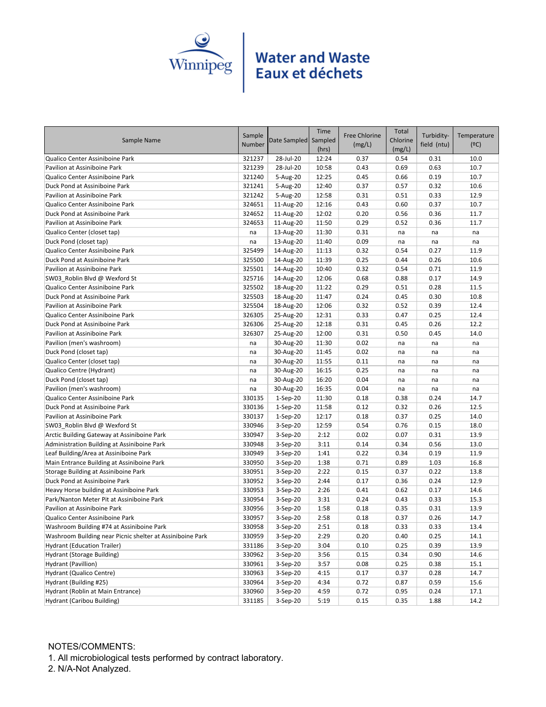

| Sample Name                                               | Sample<br>Number | Date Sampled   | Time<br>Sampled<br>(hrs) | <b>Free Chlorine</b><br>(mg/L) | Total<br>Chlorine<br>(mg/L) | Turbidity-<br>field (ntu) | Temperature<br>(°C) |
|-----------------------------------------------------------|------------------|----------------|--------------------------|--------------------------------|-----------------------------|---------------------------|---------------------|
| Qualico Center Assiniboine Park                           | 321237           | 28-Jul-20      | 12:24                    | 0.37                           | 0.54                        | 0.31                      | 10.0                |
| Pavilion at Assiniboine Park                              | 321239           | 28-Jul-20      | 10:58                    | 0.43                           | 0.69                        | 0.63                      | 10.7                |
| Qualico Center Assiniboine Park                           | 321240           | 5-Aug-20       | 12:25                    | 0.45                           | 0.66                        | 0.19                      | 10.7                |
| Duck Pond at Assiniboine Park                             | 321241           | 5-Aug-20       | 12:40                    | 0.37                           | 0.57                        | 0.32                      | 10.6                |
| Pavilion at Assiniboine Park                              | 321242           | 5-Aug-20       | 12:58                    | 0.31                           | 0.51                        | 0.33                      | 12.9                |
| Qualico Center Assiniboine Park                           | 324651           | 11-Aug-20      | 12:16                    | 0.43                           | 0.60                        | 0.37                      | 10.7                |
| Duck Pond at Assiniboine Park                             | 324652           | 11-Aug-20      | 12:02                    | 0.20                           | 0.56                        | 0.36                      | 11.7                |
| Pavilion at Assiniboine Park                              | 324653           | 11-Aug-20      | 11:50                    | 0.29                           | 0.52                        | 0.36                      | 11.7                |
| Qualico Center (closet tap)                               | na               | 13-Aug-20      | 11:30                    | 0.31                           | na                          | na                        | na                  |
| Duck Pond (closet tap)                                    | na               | 13-Aug-20      | 11:40                    | 0.09                           | na                          | na                        | na                  |
| Qualico Center Assiniboine Park                           | 325499           | 14-Aug-20      | 11:13                    | 0.32                           | 0.54                        | 0.27                      | 11.9                |
| Duck Pond at Assiniboine Park                             | 325500           | 14-Aug-20      | 11:39                    | 0.25                           | 0.44                        | 0.26                      | 10.6                |
| Pavilion at Assiniboine Park                              | 325501           | 14-Aug-20      | 10:40                    | 0.32                           | 0.54                        | 0.71                      | 11.9                |
| SW03_Roblin Blvd @ Wexford St                             | 325716           | 14-Aug-20      | 12:06                    | 0.68                           | 0.88                        | 0.17                      | 14.9                |
| Qualico Center Assiniboine Park                           | 325502           | 18-Aug-20      | 11:22                    | 0.29                           | 0.51                        | 0.28                      | 11.5                |
| Duck Pond at Assiniboine Park                             | 325503           | 18-Aug-20      | 11:47                    | 0.24                           | 0.45                        | 0.30                      | 10.8                |
| Pavilion at Assiniboine Park                              | 325504           | 18-Aug-20      | 12:06                    | 0.32                           | 0.52                        | 0.39                      | 12.4                |
| Qualico Center Assiniboine Park                           | 326305           | 25-Aug-20      | 12:31                    | 0.33                           | 0.47                        | 0.25                      | 12.4                |
| Duck Pond at Assiniboine Park                             | 326306           | 25-Aug-20      | 12:18                    | 0.31                           | 0.45                        | 0.26                      | 12.2                |
| Pavilion at Assiniboine Park                              | 326307           | 25-Aug-20      | 12:00                    | 0.31                           | 0.50                        | 0.45                      | 14.0                |
| Pavilion (men's washroom)                                 | na               | 30-Aug-20      | 11:30                    | 0.02                           | na                          | na                        | na                  |
| Duck Pond (closet tap)                                    | na               | 30-Aug-20      | 11:45                    | 0.02                           | na                          | na                        | na                  |
| Qualico Center (closet tap)                               | na               | 30-Aug-20      | 11:55                    | 0.11                           | na                          | na                        | na                  |
| Qualico Centre (Hydrant)                                  | na               | 30-Aug-20      | 16:15                    | 0.25                           | na                          | na                        | na                  |
| Duck Pond (closet tap)                                    | na               | 30-Aug-20      | 16:20                    | 0.04                           | na                          | na                        | na                  |
| Pavilion (men's washroom)                                 | na               | 30-Aug-20      | 16:35                    | 0.04                           | na                          | na                        | na                  |
| Qualico Center Assiniboine Park                           | 330135           | 1-Sep-20       | 11:30                    | 0.18                           | 0.38                        | 0.24                      | 14.7                |
| Duck Pond at Assiniboine Park                             | 330136           | 1-Sep-20       | 11:58                    | 0.12                           | 0.32                        | 0.26                      | 12.5                |
| Pavilion at Assiniboine Park                              | 330137           | 1-Sep-20       | 12:17                    | 0.18                           | 0.37                        | 0.25                      | 14.0                |
| SW03_Roblin Blvd @ Wexford St                             | 330946           | 3-Sep-20       | 12:59                    | 0.54                           | 0.76                        | 0.15                      | 18.0                |
| Arctic Building Gateway at Assiniboine Park               | 330947           | $3-Sep-20$     | 2:12                     | 0.02                           | 0.07                        | 0.31                      | 13.9                |
| Administration Building at Assiniboine Park               | 330948           | $3-$ Sep $-20$ | 3:11                     | 0.14                           | 0.34                        | 0.56                      | 13.0                |
| Leaf Building/Area at Assiniboine Park                    | 330949           | 3-Sep-20       | 1:41                     | 0.22                           | 0.34                        | 0.19                      | 11.9                |
| Main Entrance Building at Assiniboine Park                | 330950           | 3-Sep-20       | 1:38                     | 0.71                           | 0.89                        | 1.03                      | 16.8                |
| Storage Building at Assiniboine Park                      | 330951           | 3-Sep-20       | 2:22                     | 0.15                           | 0.37                        | 0.22                      | 13.8                |
| Duck Pond at Assiniboine Park                             | 330952           | 3-Sep-20       | 2:44                     | 0.17                           | 0.36                        | 0.24                      | 12.9                |
| Heavy Horse building at Assiniboine Park                  | 330953           | 3-Sep-20       | 2:26                     | 0.41                           | 0.62                        | 0.17                      | 14.6                |
| Park/Nanton Meter Pit at Assiniboine Park                 | 330954           | $3-Sep-20$     | 3:31                     | 0.24                           | 0.43                        | 0.33                      | 15.3                |
| Pavilion at Assiniboine Park                              | 330956           | 3-Sep-20       | 1:58                     | 0.18                           | 0.35                        | 0.31                      | 13.9                |
| Qualico Center Assiniboine Park                           | 330957           | $3-Sep-20$     | 2:58                     | 0.18                           | 0.37                        | 0.26                      | 14.7                |
| Washroom Building #74 at Assiniboine Park                 | 330958           | 3-Sep-20       | 2:51                     | 0.18                           | 0.33                        | 0.33                      | 13.4                |
| Washroom Building near Picnic shelter at Assiniboine Park | 330959           | 3-Sep-20       | 2:29                     | 0.20                           | 0.40                        | 0.25                      | 14.1                |
| <b>Hydrant (Education Trailer)</b>                        | 331186           | 3-Sep-20       | 3:04                     | 0.10                           | 0.25                        | 0.39                      | 13.9                |
| Hydrant (Storage Building)                                | 330962           | 3-Sep-20       | 3:56                     | 0.15                           | 0.34                        | 0.90                      | 14.6                |
| Hydrant (Pavillion)                                       | 330961           | 3-Sep-20       | 3:57                     | 0.08                           | 0.25                        | 0.38                      | 15.1                |
| Hydrant (Qualico Centre)                                  | 330963           | 3-Sep-20       | 4:15                     | 0.17                           | 0.37                        | 0.28                      | 14.7                |
| Hydrant (Building #25)                                    | 330964           | 3-Sep-20       | 4:34                     | 0.72                           | 0.87                        | 0.59                      | 15.6                |
| Hydrant (Roblin at Main Entrance)                         | 330960           | 3-Sep-20       | 4:59                     | 0.72                           | 0.95                        | 0.24                      | 17.1                |
| Hydrant (Caribou Building)                                | 331185           | 3-Sep-20       | 5:19                     | 0.15                           | 0.35                        | 1.88                      | 14.2                |

### NOTES/COMMENTS:

1. All microbiological tests performed by contract laboratory.

2. N/A-Not Analyzed.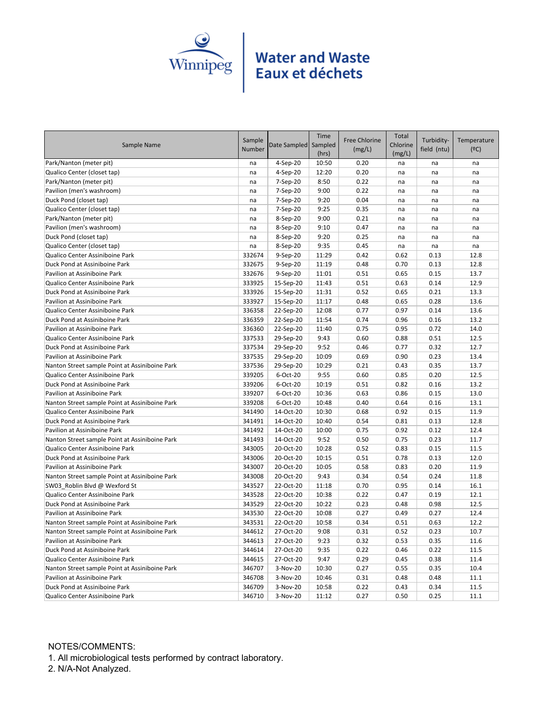

|                                                |        |                      | Time  |                      | Total    |             |             |
|------------------------------------------------|--------|----------------------|-------|----------------------|----------|-------------|-------------|
| Sample Name                                    | Sample | Date Sampled Sampled |       | <b>Free Chlorine</b> | Chlorine | Turbidity-  | Temperature |
|                                                | Number |                      | (hrs) | (mg/L)               | (mg/L)   | field (ntu) | (°C)        |
| Park/Nanton (meter pit)                        | na     | 4-Sep-20             | 10:50 | 0.20                 | na       | na          | na          |
| Qualico Center (closet tap)                    | na     | 4-Sep-20             | 12:20 | 0.20                 | na       | na          | na          |
| Park/Nanton (meter pit)                        | na     | 7-Sep-20             | 8:50  | 0.22                 | na       | na          | na          |
| Pavilion (men's washroom)                      | na     | 7-Sep-20             | 9:00  | 0.22                 | na       | na          | na          |
| Duck Pond (closet tap)                         | na     | 7-Sep-20             | 9:20  | 0.04                 | na       | na          | na          |
| Qualico Center (closet tap)                    | na     | 7-Sep-20             | 9:25  | 0.35                 | na       | na          | na          |
| Park/Nanton (meter pit)                        | na     | 8-Sep-20             | 9:00  | 0.21                 | na       | na          | na          |
| Pavilion (men's washroom)                      | na     | 8-Sep-20             | 9:10  | 0.47                 | na       | na          | na          |
| Duck Pond (closet tap)                         | na     | 8-Sep-20             | 9:20  | 0.25                 | na       | na          | na          |
| Qualico Center (closet tap)                    | na     | 8-Sep-20             | 9:35  | 0.45                 | na       | na          | na          |
| Qualico Center Assiniboine Park                | 332674 | 9-Sep-20             | 11:29 | 0.42                 | 0.62     | 0.13        | 12.8        |
| Duck Pond at Assiniboine Park                  | 332675 | 9-Sep-20             | 11:19 | 0.48                 | 0.70     | 0.13        | 12.8        |
| Pavilion at Assiniboine Park                   | 332676 | 9-Sep-20             | 11:01 | 0.51                 | 0.65     | 0.15        | 13.7        |
| Qualico Center Assiniboine Park                | 333925 | 15-Sep-20            | 11:43 | 0.51                 | 0.63     | 0.14        | 12.9        |
| Duck Pond at Assiniboine Park                  | 333926 | 15-Sep-20            | 11:31 | 0.52                 | 0.65     | 0.21        | 13.3        |
| Pavilion at Assiniboine Park                   | 333927 | 15-Sep-20            | 11:17 | 0.48                 | 0.65     | 0.28        | 13.6        |
| Qualico Center Assiniboine Park                | 336358 | 22-Sep-20            | 12:08 | 0.77                 | 0.97     | 0.14        | 13.6        |
| Duck Pond at Assiniboine Park                  | 336359 | 22-Sep-20            | 11:54 | 0.74                 | 0.96     | 0.16        | 13.2        |
| Pavilion at Assiniboine Park                   | 336360 | 22-Sep-20            | 11:40 | 0.75                 | 0.95     | 0.72        | 14.0        |
| Qualico Center Assiniboine Park                | 337533 | 29-Sep-20            | 9:43  | 0.60                 | 0.88     | 0.51        | 12.5        |
| Duck Pond at Assiniboine Park                  | 337534 | 29-Sep-20            | 9:52  | 0.46                 | 0.77     | 0.32        | 12.7        |
| Pavilion at Assiniboine Park                   | 337535 | 29-Sep-20            | 10:09 | 0.69                 | 0.90     | 0.23        | 13.4        |
| Nanton Street sample Point at Assiniboine Park | 337536 | 29-Sep-20            | 10:29 | 0.21                 | 0.43     | 0.35        | 13.7        |
| Qualico Center Assiniboine Park                | 339205 | 6-Oct-20             | 9:55  | 0.60                 | 0.85     | 0.20        | 12.5        |
| Duck Pond at Assiniboine Park                  | 339206 | 6-Oct-20             | 10:19 | 0.51                 | 0.82     | 0.16        | 13.2        |
| Pavilion at Assiniboine Park                   | 339207 | 6-Oct-20             | 10:36 | 0.63                 | 0.86     | 0.15        | 13.0        |
| Nanton Street sample Point at Assiniboine Park | 339208 | 6-Oct-20             | 10:48 | 0.40                 | 0.64     | 0.16        | 13.1        |
| Qualico Center Assiniboine Park                | 341490 | 14-Oct-20            | 10:30 | 0.68                 | 0.92     | 0.15        | 11.9        |
| Duck Pond at Assiniboine Park                  | 341491 | 14-Oct-20            | 10:40 | 0.54                 | 0.81     | 0.13        | 12.8        |
| Pavilion at Assiniboine Park                   | 341492 | 14-Oct-20            | 10:00 | 0.75                 | 0.92     | 0.12        | 12.4        |
| Nanton Street sample Point at Assiniboine Park | 341493 | 14-Oct-20            | 9:52  | 0.50                 | 0.75     | 0.23        | 11.7        |
| Qualico Center Assiniboine Park                | 343005 | 20-Oct-20            | 10:28 | 0.52                 | 0.83     | 0.15        | 11.5        |
| Duck Pond at Assiniboine Park                  | 343006 | 20-Oct-20            | 10:15 | 0.51                 | 0.78     | 0.13        | 12.0        |
| Pavilion at Assiniboine Park                   | 343007 | 20-Oct-20            | 10:05 | 0.58                 | 0.83     | 0.20        | 11.9        |
| Nanton Street sample Point at Assiniboine Park | 343008 | 20-Oct-20            | 9:43  | 0.34                 | 0.54     | 0.24        | 11.8        |
| SW03 Roblin Blvd @ Wexford St                  | 343527 | 22-Oct-20            | 11:18 | 0.70                 | 0.95     | 0.14        | 16.1        |
| Qualico Center Assiniboine Park                | 343528 | 22-Oct-20            | 10:38 | 0.22                 | 0.47     | 0.19        | 12.1        |
| Duck Pond at Assiniboine Park                  | 343529 | 22-Oct-20            | 10:22 | 0.23                 | 0.48     | 0.98        | 12.5        |
| Pavilion at Assiniboine Park                   | 343530 | 22-Oct-20            | 10:08 | 0.27                 | 0.49     | 0.27        | 12.4        |
| Nanton Street sample Point at Assiniboine Park | 343531 | 22-Oct-20            | 10:58 | 0.34                 | 0.51     | 0.63        | 12.2        |
| Nanton Street sample Point at Assiniboine Park | 344612 | 27-Oct-20            | 9:08  | 0.31                 | 0.52     | 0.23        | 10.7        |
| Pavilion at Assiniboine Park                   | 344613 | 27-Oct-20            | 9:23  | 0.32                 | 0.53     | 0.35        | 11.6        |
| Duck Pond at Assiniboine Park                  | 344614 | 27-Oct-20            | 9:35  | 0.22                 | 0.46     | 0.22        | 11.5        |
| Qualico Center Assiniboine Park                | 344615 | 27-Oct-20            | 9:47  | 0.29                 | 0.45     | 0.38        | 11.4        |
| Nanton Street sample Point at Assiniboine Park | 346707 | 3-Nov-20             | 10:30 | 0.27                 | 0.55     | 0.35        | 10.4        |
| Pavilion at Assiniboine Park                   | 346708 | 3-Nov-20             | 10:46 | 0.31                 | 0.48     | 0.48        | 11.1        |
| Duck Pond at Assiniboine Park                  | 346709 | 3-Nov-20             | 10:58 | 0.22                 | 0.43     | 0.34        | 11.5        |
| Qualico Center Assiniboine Park                | 346710 | 3-Nov-20             | 11:12 | 0.27                 | 0.50     | 0.25        | 11.1        |

### NOTES/COMMENTS:

1. All microbiological tests performed by contract laboratory.

2. N/A-Not Analyzed.